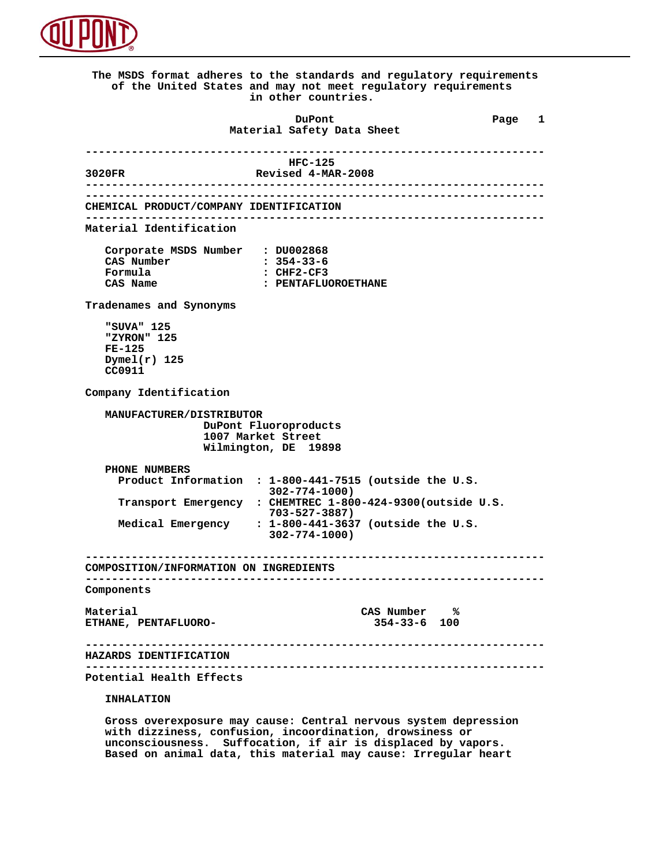

 **The MSDS format adheres to the standards and regulatory requirements of the United States and may not meet regulatory requirements in other countries. DuPont Different Page 1 Material Safety Data Sheet ---------------------------------------------------------------------- HFC-125 3020FR Revised 4-MAR-2008 ---------------------------------------------------------------------- ---------------------------------------------------------------------- CHEMICAL PRODUCT/COMPANY IDENTIFICATION ---------------------------------------------------------------------- Material Identification Corporate MSDS Number : DU002868 CAS Number : 354-33-6 Formula : CHF2-CF3**<br>CAS Name : PENTAFLU **: PENTAFLUOROETHANE Tradenames and Synonyms "SUVA" 125 "ZYRON" 125 FE-125 Dymel(r) 125 CC0911 Company Identification MANUFACTURER/DISTRIBUTOR DuPont Fluoroproducts 1007 Market Street Wilmington, DE 19898 PHONE NUMBERS Product Information : 1-800-441-7515 (outside the U.S. 302-774-1000) Transport Emergency : CHEMTREC 1-800-424-9300(outside U.S. 703-527-3887) Medical Emergency : 1-800-441-3637 (outside the U.S. 302-774-1000) ---------------------------------------------------------------------- COMPOSITION/INFORMATION ON INGREDIENTS ---------------------------------------------------------------------- Components** Material CAS Number %<br>ETHANE, PENTAFLUORO-**New SALE 2018** CAS Number % **ETHANE, PENTAFLUORO- ---------------------------------------------------------------------- HAZARDS IDENTIFICATION ---------------------------------------------------------------------- Potential Health Effects INHALATION**

> **Gross overexposure may cause: Central nervous system depression with dizziness, confusion, incoordination, drowsiness or unconsciousness. Suffocation, if air is displaced by vapors. Based on animal data, this material may cause: Irregular heart**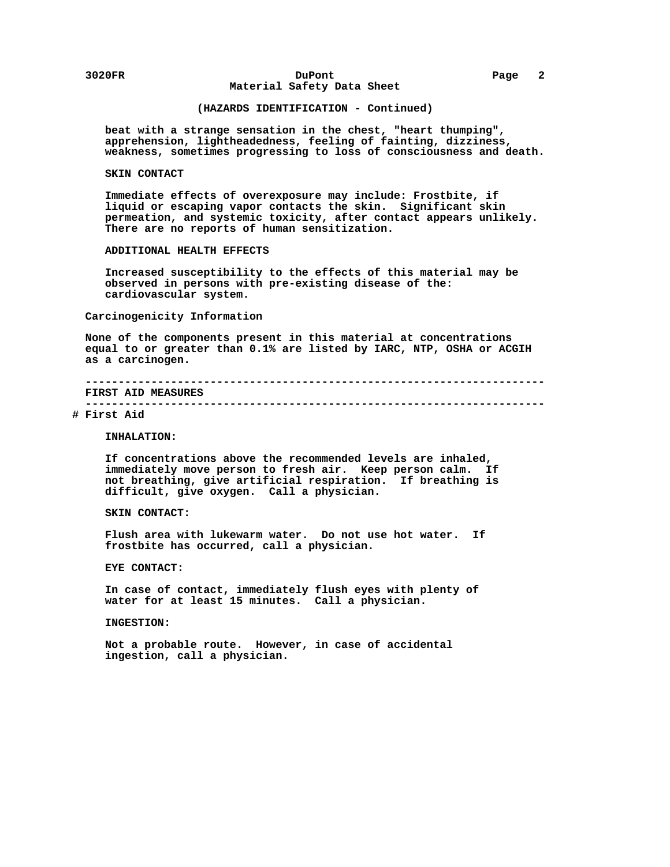### **3020FR DuPont Page 2 Material Safety Data Sheet**

### **(HAZARDS IDENTIFICATION - Continued)**

 **beat with a strange sensation in the chest, "heart thumping", apprehension, lightheadedness, feeling of fainting, dizziness, weakness, sometimes progressing to loss of consciousness and death.**

#### **SKIN CONTACT**

 **Immediate effects of overexposure may include: Frostbite, if liquid or escaping vapor contacts the skin. Significant skin permeation, and systemic toxicity, after contact appears unlikely. There are no reports of human sensitization.**

#### **ADDITIONAL HEALTH EFFECTS**

 **Increased susceptibility to the effects of this material may be observed in persons with pre-existing disease of the: cardiovascular system.**

### **Carcinogenicity Information**

 **None of the components present in this material at concentrations equal to or greater than 0.1% are listed by IARC, NTP, OSHA or ACGIH as a carcinogen.**

 **---------------------------------------------------------------------- FIRST AID MEASURES**

# **----------------------------------------------------------------------**

## **# First Aid**

 **INHALATION:**

 **If concentrations above the recommended levels are inhaled, immediately move person to fresh air. Keep person calm. If not breathing, give artificial respiration. If breathing is difficult, give oxygen. Call a physician.**

### **SKIN CONTACT:**

 **Flush area with lukewarm water. Do not use hot water. If frostbite has occurred, call a physician.**

 **EYE CONTACT:**

 **In case of contact, immediately flush eyes with plenty of water for at least 15 minutes. Call a physician.**

#### **INGESTION:**

 **Not a probable route. However, in case of accidental ingestion, call a physician.**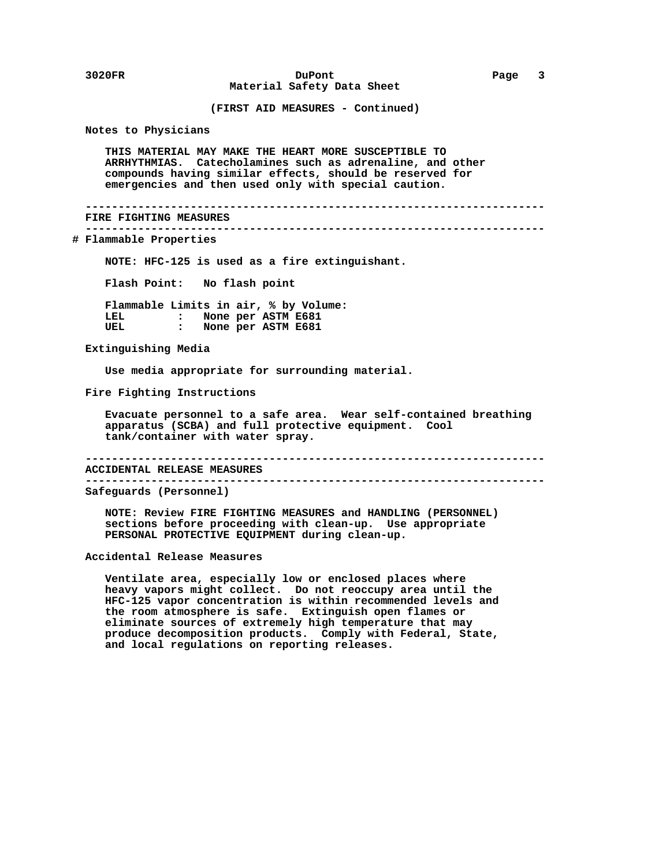**3020FR DuPont Page 3 Material Safety Data Sheet**

 **(FIRST AID MEASURES - Continued)**

 **Notes to Physicians**

 **THIS MATERIAL MAY MAKE THE HEART MORE SUSCEPTIBLE TO ARRHYTHMIAS. Catecholamines such as adrenaline, and other compounds having similar effects, should be reserved for emergencies and then used only with special caution.**

 **---------------------------------------------------------------------- FIRE FIGHTING MEASURES**

 **----------------------------------------------------------------------**

 **# Flammable Properties**

 **NOTE: HFC-125 is used as a fire extinguishant.**

 **Flash Point: No flash point**

 **Flammable Limits in air, % by Volume: LEL : None per ASTM E681**<br>UEL : None per ASTM E681 **:** None per ASTM E681

 **Extinguishing Media**

 **Use media appropriate for surrounding material.**

 **Fire Fighting Instructions**

 **Evacuate personnel to a safe area. Wear self-contained breathing apparatus (SCBA) and full protective equipment. Cool tank/container with water spray.**

 **----------------------------------------------------------------------**

 **ACCIDENTAL RELEASE MEASURES ----------------------------------------------------------------------**

 **Safeguards (Personnel)**

 **NOTE: Review FIRE FIGHTING MEASURES and HANDLING (PERSONNEL) sections before proceeding with clean-up. Use appropriate PERSONAL PROTECTIVE EQUIPMENT during clean-up.**

 **Accidental Release Measures**

 **Ventilate area, especially low or enclosed places where heavy vapors might collect. Do not reoccupy area until the HFC-125 vapor concentration is within recommended levels and the room atmosphere is safe. Extinguish open flames or eliminate sources of extremely high temperature that may produce decomposition products. Comply with Federal, State, and local regulations on reporting releases.**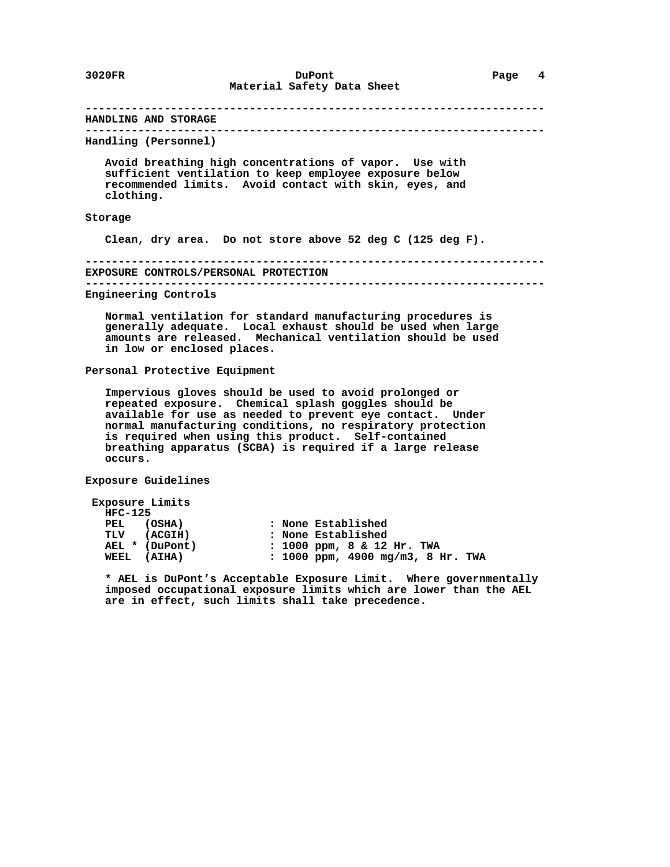#### **---------------------------------------------------------------------- HANDLING AND STORAGE ---------------------------------------------------------------------- Handling (Personnel)**

 **Avoid breathing high concentrations of vapor. Use with sufficient ventilation to keep employee exposure below recommended limits. Avoid contact with skin, eyes, and clothing.**

## **Storage**

 **Clean, dry area. Do not store above 52 deg C (125 deg F).**

 **---------------------------------------------------------------------- EXPOSURE CONTROLS/PERSONAL PROTECTION ----------------------------------------------------------------------**

 **Engineering Controls**

 **Normal ventilation for standard manufacturing procedures is generally adequate. Local exhaust should be used when large amounts are released. Mechanical ventilation should be used in low or enclosed places.**

#### **Personal Protective Equipment**

 **Impervious gloves should be used to avoid prolonged or repeated exposure. Chemical splash goggles should be available for use as needed to prevent eye contact. Under normal manufacturing conditions, no respiratory protection is required when using this product. Self-contained breathing apparatus (SCBA) is required if a large release occurs.**

 **Exposure Guidelines**

```
 Exposure Limits
      HFC-125
PEL (OSHA) : None Established
TLV (ACGIH) : None Established
AEL * (DuPont) : 1000 ppm, 8 & 12 Hr. TWA
      WEEL (AIHA) : 1000 ppm, 4900 mg/m3, 8 Hr. TWA
```
 **\* AEL is DuPont's Acceptable Exposure Limit. Where governmentally imposed occupational exposure limits which are lower than the AEL are in effect, such limits shall take precedence.**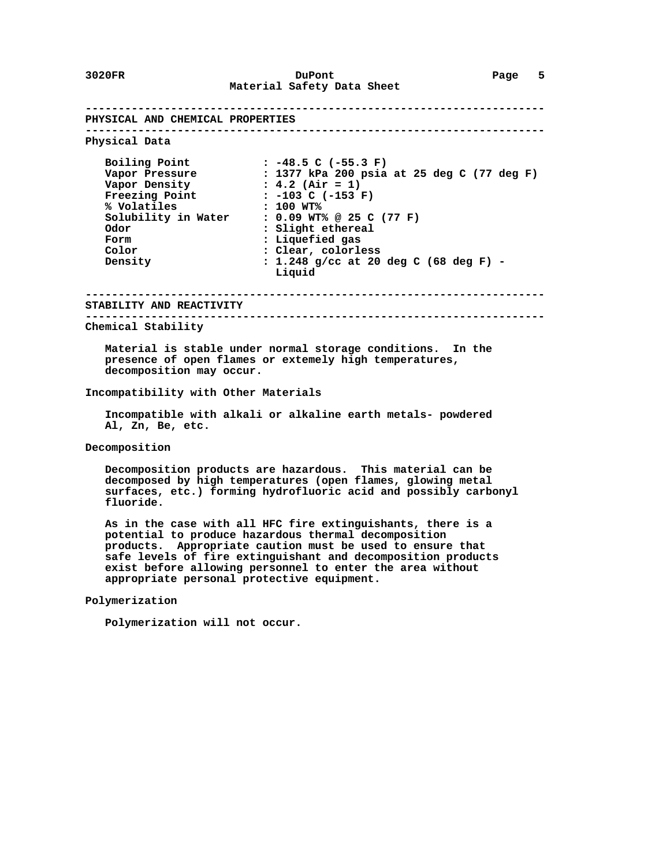**---------------------------------------------------------------------- PHYSICAL AND CHEMICAL PROPERTIES ---------------------------------------------------------------------- Physical Data Boiling Point : -48.5 C (-55.3 F) Vapor Pressure : 1377 kPa 200 psia at 25 deg C (77 deg F) Vapor Density : 4.2 (Air = 1) Freezing Point : -103 C (-153 F) % Volatiles : 100 WT% Solubility in Water : 0.09 WT% @ 25 C (77 F) Odor : Slight ethereal Form**  $\begin{array}{ccc} 1 & \text{ii} & \text{iii} \\ 2 & \text{b} & \text{iv} \\ 3 & \text{clear, color} \end{array}$  **Color : Clear, colorless Density : 1.248 g/cc at 20 deg C (68 deg F) - Liquid ---------------------------------------------------------------------- STABILITY AND REACTIVITY ---------------------------------------------------------------------- Chemical Stability Material is stable under normal storage conditions. In the presence of open flames or extemely high temperatures, decomposition may occur. Incompatibility with Other Materials Incompatible with alkali or alkaline earth metals- powdered Al, Zn, Be, etc. Decomposition Decomposition products are hazardous. This material can be decomposed by high temperatures (open flames, glowing metal surfaces, etc.) forming hydrofluoric acid and possibly carbonyl fluoride. As in the case with all HFC fire extinguishants, there is a potential to produce hazardous thermal decomposition products. Appropriate caution must be used to ensure that safe levels of fire extinguishant and decomposition products**

 **exist before allowing personnel to enter the area without**

 **Polymerization**

 **Polymerization will not occur.**

 **appropriate personal protective equipment.**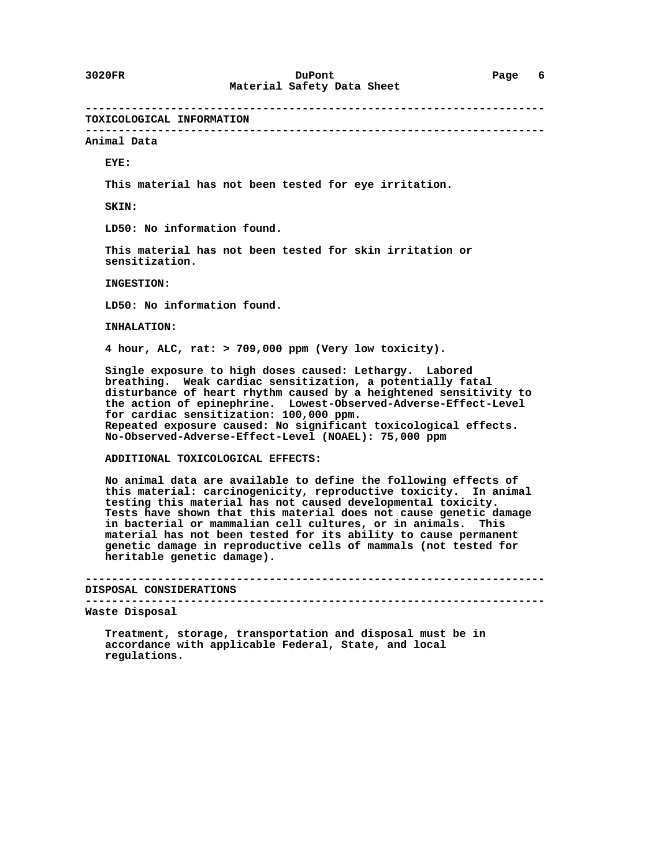**---------------------------------------------------------------------- TOXICOLOGICAL INFORMATION ---------------------------------------------------------------------- Animal Data EYE: This material has not been tested for eye irritation. SKIN: LD50: No information found. This material has not been tested for skin irritation or sensitization. INGESTION: LD50: No information found. INHALATION: 4 hour, ALC, rat: > 709,000 ppm (Very low toxicity). Single exposure to high doses caused: Lethargy. Labored breathing. Weak cardiac sensitization, a potentially fatal disturbance of heart rhythm caused by a heightened sensitivity to the action of epinephrine. Lowest-Observed-Adverse-Effect-Level for cardiac sensitization: 100,000 ppm. Repeated exposure caused: No significant toxicological effects. No-Observed-Adverse-Effect-Level (NOAEL): 75,000 ppm ADDITIONAL TOXICOLOGICAL EFFECTS: No animal data are available to define the following effects of this material: carcinogenicity, reproductive toxicity. In animal testing this material has not caused developmental toxicity. Tests have shown that this material does not cause genetic damage in bacterial or mammalian cell cultures, or in animals. This material has not been tested for its ability to cause permanent genetic damage in reproductive cells of mammals (not tested for heritable genetic damage).**

 **---------------------------------------------------------------------- DISPOSAL CONSIDERATIONS**

 **----------------------------------------------------------------------**

 **Waste Disposal**

 **Treatment, storage, transportation and disposal must be in accordance with applicable Federal, State, and local regulations.**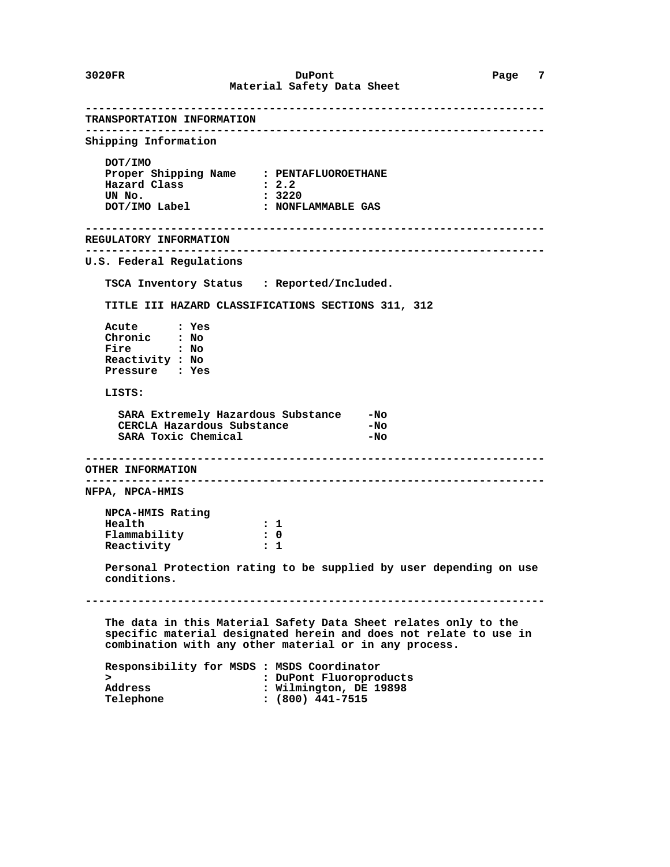**---------------------------------------------------------------------- TRANSPORTATION INFORMATION ---------------------------------------------------------------------- Shipping Information DOT/IMO Proper Shipping Name : PENTAFLUOROETHANE Hazard Class : 2.2 UN No. : 3220 DOT/IMO Label : NONFLAMMABLE GAS ---------------------------------------------------------------------- REGULATORY INFORMATION ---------------------------------------------------------------------- U.S. Federal Regulations TSCA Inventory Status : Reported/Included. TITLE III HAZARD CLASSIFICATIONS SECTIONS 311, 312 Acute : Yes Chronic : No Fire : No Reactivity : No Pressure : Yes LISTS: SARA Extremely Hazardous Substance -No CERCLA Hazardous Substance** SARA Toxic Chemical **-No ---------------------------------------------------------------------- OTHER INFORMATION ---------------------------------------------------------------------- NFPA, NPCA-HMIS NPCA-HMIS Rating Health** : 1<br>Flammability : 0 Flammability : 0<br>Reactivity : 1  **Reactivity : 1 Personal Protection rating to be supplied by user depending on use conditions. ---------------------------------------------------------------------- The data in this Material Safety Data Sheet relates only to the specific material designated herein and does not relate to use in combination with any other material or in any process. Responsibility for MSDS : MSDS Coordinator**

|           | Responsibility for mode . Mode coordinator |
|-----------|--------------------------------------------|
|           | : DuPont Fluoroproducts                    |
| Address   | : Wilmington, DE 19898                     |
| Telephone | $: (800)$ 441-7515                         |